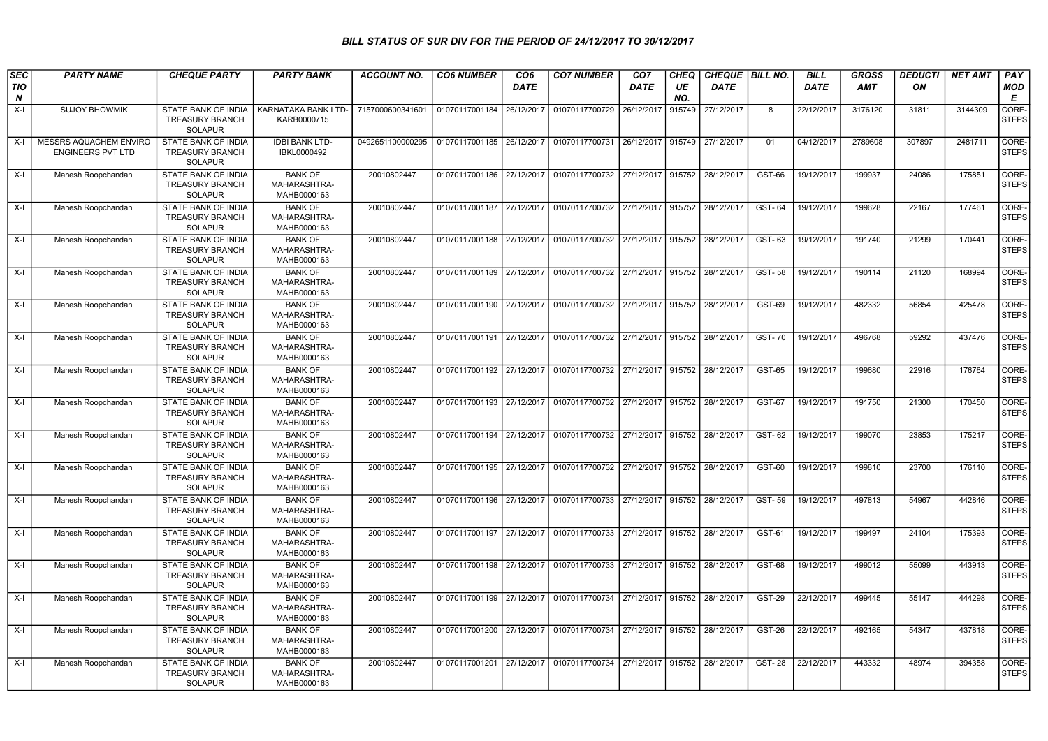## BILL STATUS OF SUR DIV FOR THE PERIOD OF 24/12/2017 TO 30/12/2017

| <b>SEC</b> | <b>PARTY NAME</b>                                  | <b>CHEQUE PARTY</b>                                                    | <b>PARTY BANK</b>                             | <b>ACCOUNT NO.</b> | <b>CO6 NUMBER</b>         | CO <sub>6</sub> | <b>CO7 NUMBER</b>                                                  | CO <sub>7</sub>   | <b>CHEQ</b> | CHEQUE   BILL NO. |               | <b>BILL</b> | <b>GROSS</b> | <b>DEDUCTI</b> | <b>NET AMT</b> | PAY                   |
|------------|----------------------------------------------------|------------------------------------------------------------------------|-----------------------------------------------|--------------------|---------------------------|-----------------|--------------------------------------------------------------------|-------------------|-------------|-------------------|---------------|-------------|--------------|----------------|----------------|-----------------------|
| TIO<br>N   |                                                    |                                                                        |                                               |                    |                           | <b>DATE</b>     |                                                                    | <b>DATE</b>       | UE<br>NO.   | <b>DATE</b>       |               | <b>DATE</b> | AMT          | ON             |                | <b>MOD</b><br>Е       |
| $X-I$      | <b>SUJOY BHOWMIK</b>                               | <b>STATE BANK OF INDIA</b><br><b>TREASURY BRANCH</b><br><b>SOLAPUR</b> | KARNATAKA BANK LTD-<br>KARB0000715            | 7157000600341601   | 01070117001184            | 26/12/2017      | 01070117700729                                                     | 26/12/2017        | 915749      | 27/12/2017        | 8             | 22/12/2017  | 3176120      | 31811          | 3144309        | CORE-<br><b>STEPS</b> |
| X-l        | MESSRS AQUACHEM ENVIRO<br><b>ENGINEERS PVT LTD</b> | STATE BANK OF INDIA<br><b>TREASURY BRANCH</b><br><b>SOLAPUR</b>        | <b>IDBI BANK LTD-</b><br>IBKL0000492          | 0492651100000295   | 01070117001185            | 26/12/2017      | 01070117700731                                                     | 26/12/2017        | 915749      | 27/12/2017        | 01            | 04/12/2017  | 2789608      | 307897         | 2481711        | CORE-<br><b>STEPS</b> |
| $X-I$      | Mahesh Roopchandani                                | STATE BANK OF INDIA<br><b>TREASURY BRANCH</b><br><b>SOLAPUR</b>        | <b>BANK OF</b><br>MAHARASHTRA-<br>MAHB0000163 | 20010802447        | 01070117001186            | 27/12/2017      | 01070117700732                                                     | 27/12/2017        | 915752      | 28/12/2017        | GST-66        | 19/12/2017  | 199937       | 24086          | 175851         | CORE-<br><b>STEPS</b> |
| $X-I$      | Mahesh Roopchandani                                | STATE BANK OF INDIA<br><b>TREASURY BRANCH</b><br><b>SOLAPUR</b>        | <b>BANK OF</b><br>MAHARASHTRA-<br>MAHB0000163 | 20010802447        | 01070117001187            | 27/12/2017      | 01070117700732                                                     | 27/12/2017 915752 |             | 28/12/2017        | GST-64        | 19/12/2017  | 199628       | 22167          | 177461         | CORE-<br><b>STEPS</b> |
| $X-I$      | Mahesh Roopchandani                                | STATE BANK OF INDIA<br><b>TREASURY BRANCH</b><br><b>SOLAPUR</b>        | <b>BANK OF</b><br>MAHARASHTRA-<br>MAHB0000163 | 20010802447        | 01070117001188            |                 | 27/12/2017 01070117700732                                          | 27/12/2017        | 915752      | 28/12/2017        | GST-63        | 19/12/2017  | 191740       | 21299          | 170441         | CORE-<br><b>STEPS</b> |
| $X-I$      | Mahesh Roopchandani                                | STATE BANK OF INDIA<br>TREASURY BRANCH<br><b>SOLAPUR</b>               | <b>BANK OF</b><br>MAHARASHTRA-<br>MAHB0000163 | 20010802447        | 01070117001189            | 27/12/2017      | 01070117700732                                                     | 27/12/2017        | 915752      | 28/12/2017        | <b>GST-58</b> | 19/12/2017  | 190114       | 21120          | 168994         | CORE-<br><b>STEPS</b> |
| $X-I$      | Mahesh Roopchandani                                | STATE BANK OF INDIA<br><b>TREASURY BRANCH</b><br>SOLAPUR               | <b>BANK OF</b><br>MAHARASHTRA-<br>MAHB0000163 | 20010802447        |                           |                 | 01070117001190   27/12/2017   01070117700732   27/12/2017   915752 |                   |             | 28/12/2017        | GST-69        | 19/12/2017  | 482332       | 56854          | 425478         | CORE-<br><b>STEPS</b> |
| $X-I$      | Mahesh Roopchandani                                | <b>STATE BANK OF INDIA</b><br><b>TREASURY BRANCH</b><br><b>SOLAPUR</b> | <b>BANK OF</b><br>MAHARASHTRA-<br>MAHB0000163 | 20010802447        | 01070117001191            | 27/12/2017      | 01070117700732 27/12/2017 915752                                   |                   |             | 28/12/2017        | <b>GST-70</b> | 19/12/2017  | 496768       | 59292          | 437476         | CORE-<br><b>STEPS</b> |
| $X-I$      | Mahesh Roopchandani                                | <b>STATE BANK OF INDIA</b><br>TREASURY BRANCH<br><b>SOLAPUR</b>        | <b>BANK OF</b><br>MAHARASHTRA-<br>MAHB0000163 | 20010802447        | 01070117001192            | 27/12/2017      | 01070117700732                                                     | 27/12/2017        | 915752      | 28/12/2017        | <b>GST-65</b> | 19/12/2017  | 199680       | 22916          | 176764         | CORE-<br><b>STEPS</b> |
| $X-I$      | Mahesh Roopchandani                                | STATE BANK OF INDIA<br>TREASURY BRANCH<br>SOLAPUR                      | <b>BANK OF</b><br>MAHARASHTRA-<br>MAHB0000163 | 20010802447        | 01070117001193            | 27/12/2017      | 01070117700732                                                     | 27/12/2017 915752 |             | 28/12/2017        | <b>GST-67</b> | 19/12/2017  | 191750       | 21300          | 170450         | CORE-<br><b>STEPS</b> |
| X-I        | Mahesh Roopchandani                                | <b>STATE BANK OF INDIA</b><br><b>TREASURY BRANCH</b><br>SOLAPUR        | <b>BANK OF</b><br>MAHARASHTRA-<br>MAHB0000163 | 20010802447        | 01070117001194            |                 | 27/12/2017   01070117700732   27/12/2017   915752                  |                   |             | 28/12/2017        | GST-62        | 19/12/2017  | 199070       | 23853          | 175217         | CORE-<br><b>STEPS</b> |
| $X-I$      | Mahesh Roopchandani                                | <b>STATE BANK OF INDIA</b><br><b>TREASURY BRANCH</b><br><b>SOLAPUR</b> | <b>BANK OF</b><br>MAHARASHTRA-<br>MAHB0000163 | 20010802447        | 01070117001195            |                 | 27/12/2017 01070117700732                                          | 27/12/2017 915752 |             | 28/12/2017        | <b>GST-60</b> | 19/12/2017  | 199810       | 23700          | 176110         | CORE-<br><b>STEPS</b> |
| X-I        | Mahesh Roopchandani                                | STATE BANK OF INDIA<br><b>TREASURY BRANCH</b><br><b>SOLAPUR</b>        | <b>BANK OF</b><br>MAHARASHTRA-<br>MAHB0000163 | 20010802447        | 01070117001196            | 27/12/2017      | 01070117700733 27/12/2017 915752                                   |                   |             | 28/12/2017        | GST-59        | 19/12/2017  | 497813       | 54967          | 442846         | CORE-<br><b>STEPS</b> |
| X-I        | Mahesh Roopchandani                                | STATE BANK OF INDIA<br><b>TREASURY BRANCH</b><br><b>SOLAPUR</b>        | <b>BANK OF</b><br>MAHARASHTRA-<br>MAHB0000163 | 20010802447        | 01070117001197            | 27/12/2017      | 01070117700733 27/12/2017 915752                                   |                   |             | 28/12/2017        | GST-61        | 19/12/2017  | 199497       | 24104          | 175393         | CORE-<br><b>STEPS</b> |
| X-I        | Mahesh Roopchandani                                | STATE BANK OF INDIA<br><b>TREASURY BRANCH</b><br><b>SOLAPUR</b>        | <b>BANK OF</b><br>MAHARASHTRA-<br>MAHB0000163 | 20010802447        | 01070117001198 27/12/2017 |                 | 01070117700733 27/12/2017 915752                                   |                   |             | 28/12/2017        | <b>GST-68</b> | 19/12/2017  | 499012       | 55099          | 443913         | CORE-<br><b>STEPS</b> |
| $X-I$      | Mahesh Roopchandani                                | STATE BANK OF INDIA<br><b>TREASURY BRANCH</b><br><b>SOLAPUR</b>        | <b>BANK OF</b><br>MAHARASHTRA-<br>MAHB0000163 | 20010802447        | 01070117001199            | 27/12/2017      | 01070117700734                                                     | 27/12/2017 915752 |             | 28/12/2017        | <b>GST-29</b> | 22/12/2017  | 499445       | 55147          | 444298         | CORE-<br><b>STEPS</b> |
| $X-I$      | Mahesh Roopchandani                                | STATE BANK OF INDIA<br>TREASURY BRANCH<br>SOLAPUR                      | <b>BANK OF</b><br>MAHARASHTRA-<br>MAHB0000163 | 20010802447        | 01070117001200            |                 | 27/12/2017 01070117700734                                          | 27/12/2017 915752 |             | 28/12/2017        | <b>GST-26</b> | 22/12/2017  | 492165       | 54347          | 437818         | CORE-<br><b>STEPS</b> |
| X-I        | Mahesh Roopchandani                                | STATE BANK OF INDIA<br><b>TREASURY BRANCH</b><br>SOLAPUR               | <b>BANK OF</b><br>MAHARASHTRA-<br>MAHB0000163 | 20010802447        |                           |                 | 01070117001201 27/12/2017 01070117700734 27/12/2017 915752         |                   |             | 28/12/2017        | <b>GST-28</b> | 22/12/2017  | 443332       | 48974          | 394358         | CORE-<br><b>STEPS</b> |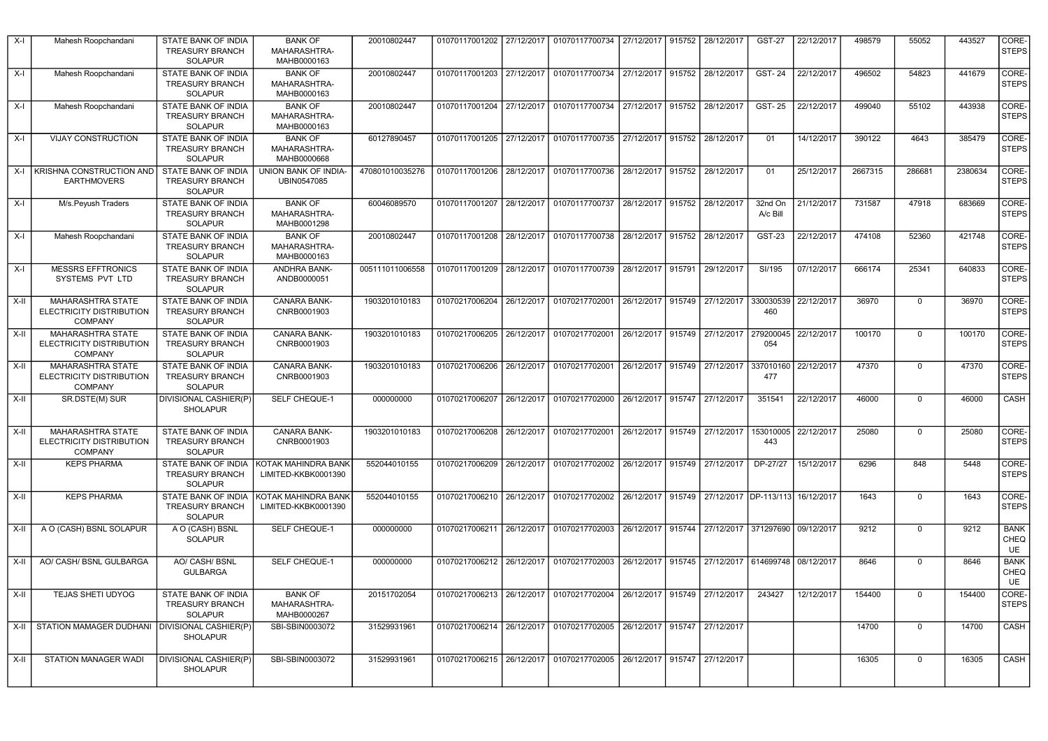| X-I    | Mahesh Roopchandani                                                    | STATE BANK OF INDIA<br><b>TREASURY BRANCH</b><br><b>SOLAPUR</b>        | <b>BANK OF</b><br>MAHARASHTRA-<br>MAHB0000163 | 20010802447     | 01070117001202            |            | 27/12/2017   01070117700734   27/12/2017   915752   28/12/2017                  |                              |        |                                        | <b>GST-27</b>       | 22/12/2017 | 498579  | 55052          | 443527  | CORE-<br>STEPS            |
|--------|------------------------------------------------------------------------|------------------------------------------------------------------------|-----------------------------------------------|-----------------|---------------------------|------------|---------------------------------------------------------------------------------|------------------------------|--------|----------------------------------------|---------------------|------------|---------|----------------|---------|---------------------------|
| $X-I$  | Mahesh Roopchandani                                                    | STATE BANK OF INDIA<br><b>TREASURY BRANCH</b><br>SOLAPUR               | <b>BANK OF</b><br>MAHARASHTRA-<br>MAHB0000163 | 20010802447     |                           |            | 01070117001203 27/12/2017 01070117700734                                        |                              |        | 27/12/2017 915752 28/12/2017           | <b>GST-24</b>       | 22/12/2017 | 496502  | 54823          | 441679  | CORE-<br>STEPS            |
| $X-I$  | Mahesh Roopchandani                                                    | STATE BANK OF INDIA<br><b>TREASURY BRANCH</b><br><b>SOLAPUR</b>        | <b>BANK OF</b><br>MAHARASHTRA-<br>MAHB0000163 | 20010802447     | 01070117001204            |            | 27/12/2017 01070117700734                                                       |                              |        | 27/12/2017 915752 28/12/2017           | <b>GST-25</b>       | 22/12/2017 | 499040  | 55102          | 443938  | CORE-<br>STEPS            |
| X-I    | <b>VIJAY CONSTRUCTION</b>                                              | <b>STATE BANK OF INDIA</b><br><b>TREASURY BRANCH</b><br><b>SOLAPUR</b> | <b>BANK OF</b><br>MAHARASHTRA-<br>MAHB0000668 | 60127890457     |                           |            | 01070117001205 27/12/2017 01070117700735 27/12/2017 915752 28/12/2017           |                              |        |                                        | 01                  | 14/12/2017 | 390122  | 4643           | 385479  | CORE-<br>STEPS            |
|        | X-I KRISHNA CONSTRUCTION AND STATE BANK OF INDIA<br><b>EARTHMOVERS</b> | <b>TREASURY BRANCH</b><br>SOLAPUR                                      | UNION BANK OF INDIA-<br>UBIN0547085           | 470801010035276 |                           |            | 01070117001206 28/12/2017 01070117700736 28/12/2017 915752 28/12/2017           |                              |        |                                        | 01                  | 25/12/2017 | 2667315 | 286681         | 2380634 | CORE-<br>STEPS            |
| X-I    | M/s.Peyush Traders                                                     | STATE BANK OF INDIA<br><b>TREASURY BRANCH</b><br>SOLAPUR               | <b>BANK OF</b><br>MAHARASHTRA-<br>MAHB0001298 | 60046089570     | 01070117001207            |            | 28/12/2017 01070117700737                                                       |                              |        | 28/12/2017 915752 28/12/2017           | 32nd On<br>A/c Bill | 21/12/2017 | 731587  | 47918          | 683669  | CORE-<br>STEPS            |
| X-I    | Mahesh Roopchandani                                                    | STATE BANK OF INDIA<br><b>TREASURY BRANCH</b><br><b>SOLAPUR</b>        | <b>BANK OF</b><br>MAHARASHTRA-<br>MAHB0000163 | 20010802447     | 01070117001208            |            | 28/12/2017   01070117700738   28/12/2017                                        |                              | 915752 | 28/12/2017                             | <b>GST-23</b>       | 22/12/2017 | 474108  | 52360          | 421748  | CORE-<br>STEPS            |
| X-I    | <b>MESSRS EFFTRONICS</b><br>SYSTEMS PVT LTD                            | STATE BANK OF INDIA<br><b>TREASURY BRANCH</b><br><b>SOLAPUR</b>        | ANDHRA BANK-<br>ANDB0000051                   | 005111011006558 | 01070117001209            |            | 28/12/2017 01070117700739                                                       | 28/12/2017 915791            |        | 29/12/2017                             | SI/195              | 07/12/2017 | 666174  | 25341          | 640833  | CORE-<br>STEPS            |
| $X-II$ | MAHARASHTRA STATE<br>ELECTRICITY DISTRIBUTION<br><b>COMPANY</b>        | STATE BANK OF INDIA<br><b>TREASURY BRANCH</b><br><b>SOLAPUR</b>        | CANARA BANK-<br>CNRB0001903                   | 1903201010183   | 01070217006204            |            | 26/12/2017 01070217702001                                                       |                              |        | 26/12/2017 915749 27/12/2017           | 330030539<br>460    | 22/12/2017 | 36970   | $\overline{0}$ | 36970   | CORE-<br>STEPS            |
| $X-H$  | MAHARASHTRA STATE<br>ELECTRICITY DISTRIBUTION<br><b>COMPANY</b>        | <b>STATE BANK OF INDIA</b><br><b>TREASURY BRANCH</b><br><b>SOLAPUR</b> | CANARA BANK-<br>CNRB0001903                   | 1903201010183   | 01070217006205            |            | 26/12/2017 01070217702001                                                       |                              |        | 26/12/2017 915749 27/12/2017           | 279200045<br>054    | 22/12/2017 | 100170  | $\overline{0}$ | 100170  | CORE-<br>STEPS            |
| $X-II$ | MAHARASHTRA STATE<br>ELECTRICITY DISTRIBUTION<br><b>COMPANY</b>        | STATE BANK OF INDIA<br><b>TREASURY BRANCH</b><br><b>SOLAPUR</b>        | CANARA BANK-<br>CNRB0001903                   | 1903201010183   | 01070217006206            |            | 26/12/2017 01070217702001                                                       |                              |        | 26/12/2017 915749 27/12/2017           | 337010160<br>477    | 22/12/2017 | 47370   | 0              | 47370   | CORE-<br>STEPS            |
| X-II   | SR.DSTE(M) SUR                                                         | <b>DIVISIONAL CASHIER(P)</b><br>SHOLAPUR                               | SELF CHEQUE-1                                 | 000000000       | 01070217006207            |            | 26/12/2017 01070217702000                                                       |                              |        | 26/12/2017 915747 27/12/2017           | 351541              | 22/12/2017 | 46000   | 0              | 46000   | <b>CASH</b>               |
| $X-H$  | <b>MAHARASHTRA STATE</b><br>ELECTRICITY DISTRIBUTION<br><b>COMPANY</b> | STATE BANK OF INDIA<br>TREASURY BRANCH<br><b>SOLAPUR</b>               | <b>CANARA BANK-</b><br>CNRB0001903            | 1903201010183   |                           |            | 01070217006208 26/12/2017 01070217702001                                        |                              |        | 26/12/2017 915749 27/12/2017           | 153010005<br>443    | 22/12/2017 | 25080   | $\overline{0}$ | 25080   | CORE-<br>STEPS            |
| $X-H$  | <b>KEPS PHARMA</b>                                                     | STATE BANK OF INDIA<br><b>TREASURY BRANCH</b><br>SOLAPUR               | KOTAK MAHINDRA BANK<br>LIMITED-KKBK0001390    | 552044010155    | 01070217006209            |            | 26/12/2017 01070217702002                                                       | 26/12/2017                   |        | 915749 27/12/2017                      | DP-27/27            | 15/12/2017 | 6296    | 848            | 5448    | CORE-<br>STEPS            |
| $X-II$ | <b>KEPS PHARMA</b>                                                     | STATE BANK OF INDIA<br>TREASURY BRANCH<br><b>SOLAPUR</b>               | KOTAK MAHINDRA BANK<br>LIMITED-KKBK0001390    | 552044010155    | 01070217006210 26/12/2017 |            | 01070217702002 26/12/2017                                                       |                              |        | 915749 27/12/2017 DP-113/113           |                     | 16/12/2017 | 1643    | $\mathbf 0$    | 1643    | CORE-<br>STEPS            |
| $X-II$ | A O (CASH) BSNL SOLAPUR                                                | A O (CASH) BSNL<br><b>SOLAPUR</b>                                      | SELF CHEQUE-1                                 | 000000000       | 01070217006211            | 26/12/2017 | 01070217702003                                                                  |                              |        | 26/12/2017 915744 27/12/2017 371297690 |                     | 09/12/2017 | 9212    | $\overline{0}$ | 9212    | <b>BANK</b><br>CHEQ<br>UE |
| $X-H$  | AO/ CASH/ BSNL GULBARGA                                                | AO/ CASH/ BSNL<br><b>GULBARGA</b>                                      | SELF CHEQUE-1                                 | 000000000       | 01070217006212            |            | 26/12/2017 01070217702003 26/12/2017 915745 27/12/2017 614699748                |                              |        |                                        |                     | 08/12/2017 | 8646    | $\overline{0}$ | 8646    | <b>BANK</b><br>CHEQ<br>UE |
| $X-II$ | TEJAS SHETI UDYOG                                                      | STATE BANK OF INDIA<br><b>TREASURY BRANCH</b><br>SOLAPUR               | <b>BANK OF</b><br>MAHARASHTRA-<br>MAHB0000267 | 20151702054     |                           |            | 01070217006213 26/12/2017 01070217702004                                        | 26/12/2017 915749 27/12/2017 |        |                                        | 243427              | 12/12/2017 | 154400  | $\overline{0}$ | 154400  | CORE-<br>STEPS            |
| $X-H$  | STATION MAMAGER DUDHANI   DIVISIONAL CASHIER(P)                        | <b>SHOLAPUR</b>                                                        | SBI-SBIN0003072                               | 31529931961     |                           |            | 01070217006214   26/12/2017   01070217702005   26/12/2017   915747   27/12/2017 |                              |        |                                        |                     |            | 14700   | $\mathbf 0$    | 14700   | CASH                      |
| $X-II$ | STATION MANAGER WADI                                                   | DIVISIONAL CASHIER(P)<br><b>SHOLAPUR</b>                               | SBI-SBIN0003072                               | 31529931961     |                           |            | 01070217006215 26/12/2017 01070217702005                                        | 26/12/2017 915747            |        | 27/12/2017                             |                     |            | 16305   | $\Omega$       | 16305   | CASH                      |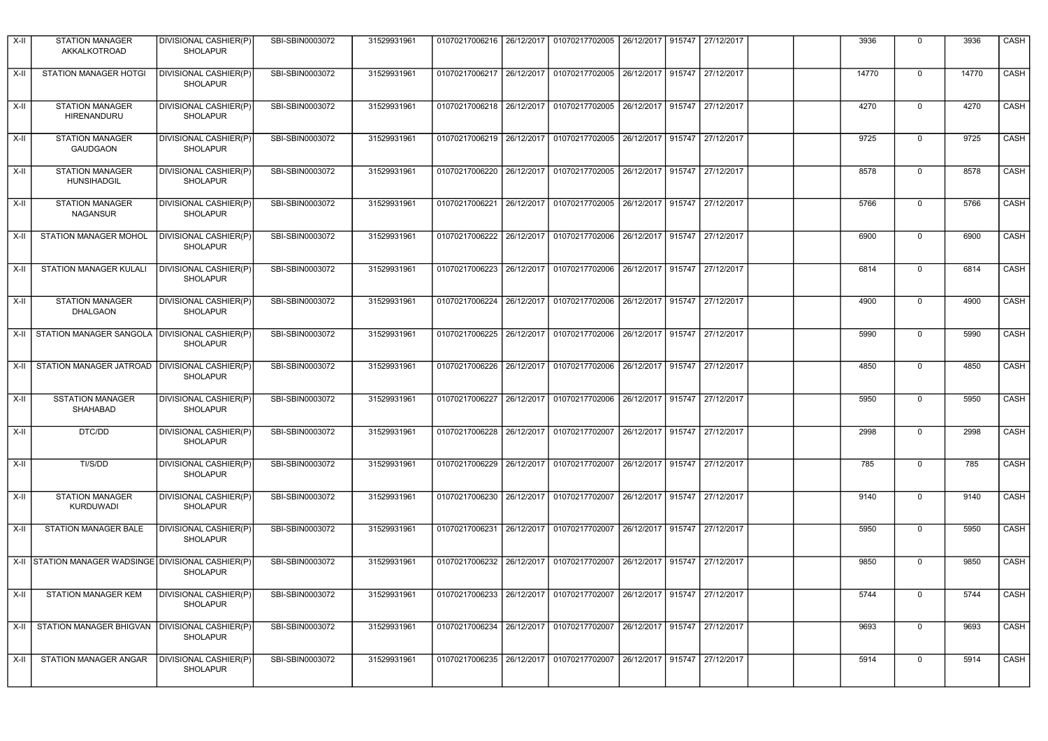| $X-H$  | <b>STATION MANAGER</b><br>AKKALKOTROAD              | DIVISIONAL CASHIER(P)<br><b>SHOLAPUR</b> | SBI-SBIN0003072 | 31529931961 |                           |            | 01070217006216   26/12/2017   01070217702005                          |                   |        | 26/12/2017   915747   27/12/2017 | 3936  | 0              | 3936  | CASH        |
|--------|-----------------------------------------------------|------------------------------------------|-----------------|-------------|---------------------------|------------|-----------------------------------------------------------------------|-------------------|--------|----------------------------------|-------|----------------|-------|-------------|
| X-II   | <b>STATION MANAGER HOTGI</b>                        | DIVISIONAL CASHIER(P)<br><b>SHOLAPUR</b> | SBI-SBIN0003072 | 31529931961 |                           |            | 01070217006217 26/12/2017 01070217702005                              |                   |        | 26/12/2017 915747 27/12/2017     | 14770 | $\mathsf 0$    | 14770 | <b>CASH</b> |
| X-II   | <b>STATION MANAGER</b><br>HIRENANDURU               | DIVISIONAL CASHIER(P)<br><b>SHOLAPUR</b> | SBI-SBIN0003072 | 31529931961 |                           |            | 01070217006218 26/12/2017 01070217702005                              |                   |        | 26/12/2017 915747 27/12/2017     | 4270  | $\Omega$       | 4270  | CASH        |
| $X-H$  | <b>STATION MANAGER</b><br><b>GAUDGAON</b>           | DIVISIONAL CASHIER(P)<br><b>SHOLAPUR</b> | SBI-SBIN0003072 | 31529931961 |                           |            | 01070217006219 26/12/2017 01070217702005 26/12/2017 915747 27/12/2017 |                   |        |                                  | 9725  | $\mathbf 0$    | 9725  | CASH        |
| $X-II$ | <b>STATION MANAGER</b><br><b>HUNSIHADGIL</b>        | DIVISIONAL CASHIER(P)<br><b>SHOLAPUR</b> | SBI-SBIN0003072 | 31529931961 |                           |            | 01070217006220 26/12/2017 01070217702005                              |                   |        | 26/12/2017 915747 27/12/2017     | 8578  | $\Omega$       | 8578  | CASH        |
| $X-II$ | <b>STATION MANAGER</b><br><b>NAGANSUR</b>           | DIVISIONAL CASHIER(P)<br><b>SHOLAPUR</b> | SBI-SBIN0003072 | 31529931961 |                           |            | 01070217006221 26/12/2017 01070217702005                              |                   |        | 26/12/2017 915747 27/12/2017     | 5766  | $\Omega$       | 5766  | <b>CASH</b> |
| $X-II$ | <b>STATION MANAGER MOHOL</b>                        | DIVISIONAL CASHIER(P)<br><b>SHOLAPUR</b> | SBI-SBIN0003072 | 31529931961 | 01070217006222            |            | 26/12/2017 01070217702006                                             | 26/12/2017 915747 |        | 27/12/2017                       | 6900  | $\Omega$       | 6900  | CASH        |
| X-II   | STATION MANAGER KULALI                              | DIVISIONAL CASHIER(P)<br><b>SHOLAPUR</b> | SBI-SBIN0003072 | 31529931961 |                           |            | 01070217006223 26/12/2017 01070217702006                              | 26/12/2017 915747 |        | 27/12/2017                       | 6814  | $\Omega$       | 6814  | <b>CASH</b> |
| $X-II$ | <b>STATION MANAGER</b><br><b>DHALGAON</b>           | DIVISIONAL CASHIER(P)<br><b>SHOLAPUR</b> | SBI-SBIN0003072 | 31529931961 | 01070217006224            |            | 26/12/2017 01070217702006                                             | 26/12/2017 915747 |        | 27/12/2017                       | 4900  | $\mathbf 0$    | 4900  | CASH        |
|        | X-II STATION MANAGER SANGOLA DIVISIONAL CASHIER(P)  | <b>SHOLAPUR</b>                          | SBI-SBIN0003072 | 31529931961 |                           |            | 01070217006225 26/12/2017 01070217702006                              |                   |        | 26/12/2017 915747 27/12/2017     | 5990  | $\mathbf 0$    | 5990  | CASH        |
| $X-II$ | STATION MANAGER JATROAD   DIVISIONAL CASHIER(P)     | <b>SHOLAPUR</b>                          | SBI-SBIN0003072 | 31529931961 |                           |            | 01070217006226 26/12/2017 01070217702006                              | 26/12/2017 915747 |        | 27/12/2017                       | 4850  | $\Omega$       | 4850  | CASH        |
| X-II   | <b>SSTATION MANAGER</b><br>SHAHABAD                 | DIVISIONAL CASHIER(P)<br><b>SHOLAPUR</b> | SBI-SBIN0003072 | 31529931961 |                           |            | 01070217006227 26/12/2017 01070217702006                              |                   |        | 26/12/2017 915747 27/12/2017     | 5950  | $\Omega$       | 5950  | CASH        |
| $X-H$  | DTC/DD                                              | DIVISIONAL CASHIER(P)<br><b>SHOLAPUR</b> | SBI-SBIN0003072 | 31529931961 | 01070217006228 26/12/2017 |            | 01070217702007                                                        | 26/12/2017 915747 |        | 27/12/2017                       | 2998  | $\overline{0}$ | 2998  | CASH        |
| $X-II$ | TI/S/DD                                             | DIVISIONAL CASHIER(P)<br><b>SHOLAPUR</b> | SBI-SBIN0003072 | 31529931961 | 01070217006229            | 26/12/2017 | 01070217702007                                                        |                   |        | 26/12/2017 915747 27/12/2017     | 785   | $\mathbf 0$    | 785   | CASH        |
| X-II   | <b>STATION MANAGER</b><br><b>KURDUWADI</b>          | DIVISIONAL CASHIER(P)<br><b>SHOLAPUR</b> | SBI-SBIN0003072 | 31529931961 | 01070217006230 26/12/2017 |            | 01070217702007                                                        | 26/12/2017 915747 |        | 27/12/2017                       | 9140  | $\Omega$       | 9140  | <b>CASH</b> |
| X-II   | STATION MANAGER BALE                                | DIVISIONAL CASHIER(P)<br><b>SHOLAPUR</b> | SBI-SBIN0003072 | 31529931961 | 01070217006231 26/12/2017 |            | 01070217702007                                                        | 26/12/2017 915747 |        | 27/12/2017                       | 5950  | $\pmb{0}$      | 5950  | <b>CASH</b> |
|        | X-II STATION MANAGER WADSINGE DIVISIONAL CASHIER(P) | <b>SHOLAPUR</b>                          | SBI-SBIN0003072 | 31529931961 | 01070217006232            | 26/12/2017 | 01070217702007                                                        | 26/12/2017 915747 |        | 27/12/2017                       | 9850  | $\overline{0}$ | 9850  | CASH        |
| $X-II$ | <b>STATION MANAGER KEM</b>                          | DIVISIONAL CASHIER(P)<br>SHOLAPUR        | SBI-SBIN0003072 | 31529931961 | 01070217006233            | 26/12/2017 | 01070217702007                                                        | 26/12/2017 915747 |        | 27/12/2017                       | 5744  | $\Omega$       | 5744  | CASH        |
| X-II   | STATION MANAGER BHIGVAN   DIVISIONAL CASHIER(P)     | <b>SHOLAPUR</b>                          | SBI-SBIN0003072 | 31529931961 | 01070217006234            | 26/12/2017 | 01070217702007                                                        | 26/12/2017 915747 |        | 27/12/2017                       | 9693  | $\mathbf 0$    | 9693  | CASH        |
| X-II   | STATION MANAGER ANGAR                               | DIVISIONAL CASHIER(P)<br><b>SHOLAPUR</b> | SBI-SBIN0003072 | 31529931961 | 01070217006235            | 26/12/2017 | 01070217702007                                                        | 26/12/2017        | 915747 | 27/12/2017                       | 5914  | $\Omega$       | 5914  | CASH        |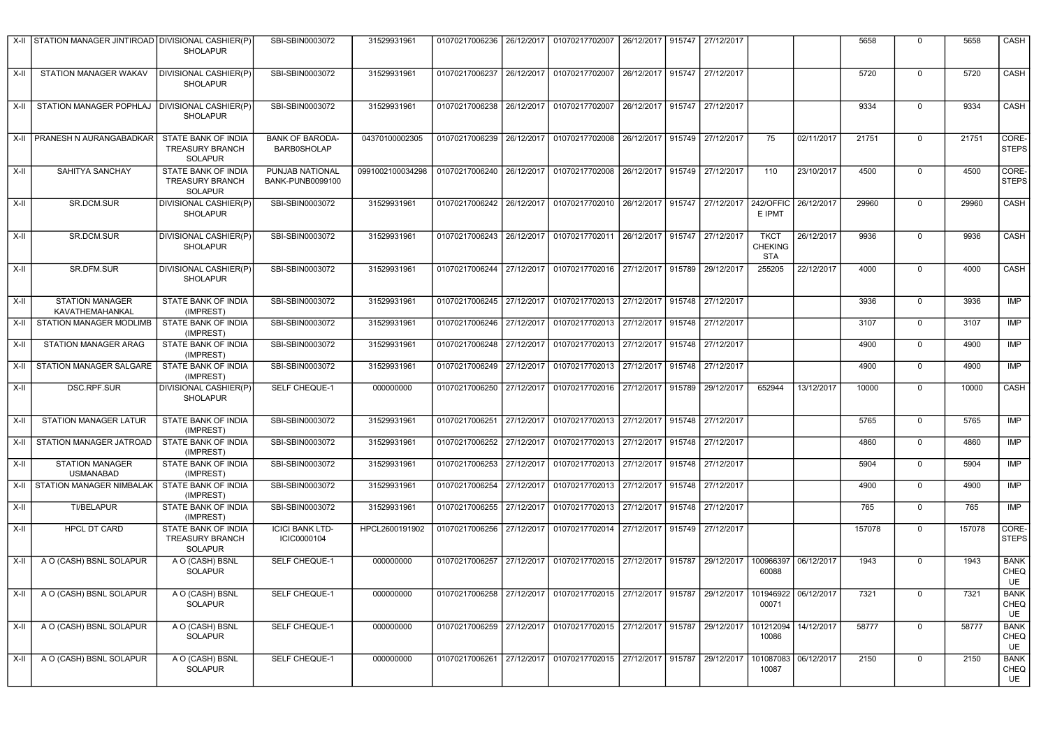|        | X-II STATION MANAGER JINTIROAD DIVISIONAL CASHIER(P) | <b>SHOLAPUR</b>                                                 | SBI-SBIN0003072                       | 31529931961                                                                            | 01070217006236 |            | 26/12/2017 01070217702007                                                       |            |        | 26/12/2017 915747 27/12/2017 |                                             |            | 5658   | $\mathbf 0$    | 5658   | CASH                      |
|--------|------------------------------------------------------|-----------------------------------------------------------------|---------------------------------------|----------------------------------------------------------------------------------------|----------------|------------|---------------------------------------------------------------------------------|------------|--------|------------------------------|---------------------------------------------|------------|--------|----------------|--------|---------------------------|
| X-II   | STATION MANAGER WAKAV                                | DIVISIONAL CASHIER(P)<br><b>SHOLAPUR</b>                        | SBI-SBIN0003072                       | 31529931961                                                                            | 01070217006237 |            | 26/12/2017 01070217702007                                                       |            |        | 26/12/2017 915747 27/12/2017 |                                             |            | 5720   | $\mathbf 0$    | 5720   | CASH                      |
| X-II   | STATION MANAGER POPHLAJ                              | DIVISIONAL CASHIER(P)<br><b>SHOLAPUR</b>                        | SBI-SBIN0003072                       | 31529931961                                                                            | 01070217006238 |            | 26/12/2017 01070217702007                                                       |            |        | 26/12/2017 915747 27/12/2017 |                                             |            | 9334   | $\mathbf 0$    | 9334   | CASH                      |
|        | X-II PRANESH N AURANGABADKAR                         | STATE BANK OF INDIA<br><b>TREASURY BRANCH</b><br><b>SOLAPUR</b> | <b>BANK OF BARODA-</b><br>BARB0SHOLAP | 04370100002305                                                                         |                |            | 01070217006239 26/12/2017 01070217702008 26/12/2017 915749 27/12/2017           |            |        |                              | 75                                          | 02/11/2017 | 21751  | $\mathbf 0$    | 21751  | CORE-<br><b>STEPS</b>     |
| X-II   | SAHITYA SANCHAY                                      | STATE BANK OF INDIA<br><b>TREASURY BRANCH</b><br><b>SOLAPUR</b> | PUNJAB NATIONAL<br>BANK-PUNB0099100   | 0991002100034298 01070217006240 26/12/2017 01070217702008 26/12/2017 915749 27/12/2017 |                |            |                                                                                 |            |        |                              | 110                                         | 23/10/2017 | 4500   | $\mathbf 0$    | 4500   | CORE-<br><b>STEPS</b>     |
| $X-H$  | SR.DCM.SUR                                           | DIVISIONAL CASHIER(P)<br><b>SHOLAPUR</b>                        | SBI-SBIN0003072                       | 31529931961                                                                            |                |            | 01070217006242 26/12/2017 01070217702010 26/12/2017 915747 27/12/2017 242/OFFIC |            |        |                              | E IPMT                                      | 26/12/2017 | 29960  | $\mathbf 0$    | 29960  | CASH                      |
| X-II   | SR.DCM.SUR                                           | DIVISIONAL CASHIER(P)<br><b>SHOLAPUR</b>                        | SBI-SBIN0003072                       | 31529931961                                                                            | 01070217006243 |            | 26/12/2017 01070217702011                                                       |            |        | 26/12/2017 915747 27/12/2017 | <b>TKCT</b><br><b>CHEKING</b><br><b>STA</b> | 26/12/2017 | 9936   | $\mathbf 0$    | 9936   | CASH                      |
| X-II   | SR.DFM.SUR                                           | DIVISIONAL CASHIER(P)<br><b>SHOLAPUR</b>                        | SBI-SBIN0003072                       | 31529931961                                                                            |                |            | 01070217006244 27/12/2017 01070217702016 27/12/2017                             |            |        | 915789 29/12/2017            | 255205                                      | 22/12/2017 | 4000   | $\mathbf 0$    | 4000   | <b>CASH</b>               |
| X-II   | <b>STATION MANAGER</b><br>KAVATHEMAHANKAL            | STATE BANK OF INDIA<br>(IMPREST)                                | SBI-SBIN0003072                       | 31529931961                                                                            | 01070217006245 |            | 27/12/2017 01070217702013 27/12/2017 915748 27/12/2017                          |            |        |                              |                                             |            | 3936   | $\mathsf 0$    | 3936   | IMP                       |
| $X-II$ | STATION MANAGER MODLIMB                              | STATE BANK OF INDIA<br>(IMPREST)                                | SBI-SBIN0003072                       | 31529931961                                                                            | 01070217006246 | 27/12/2017 | 01070217702013                                                                  | 27/12/2017 |        | 915748 27/12/2017            |                                             |            | 3107   | $\mathbf 0$    | 3107   | IMP                       |
| X-II   | STATION MANAGER ARAG                                 | STATE BANK OF INDIA<br>(IMPREST)                                | SBI-SBIN0003072                       | 31529931961                                                                            | 01070217006248 | 27/12/2017 | 01070217702013                                                                  | 27/12/2017 |        | 915748 27/12/2017            |                                             |            | 4900   | $\mathbf 0$    | 4900   | IMP                       |
| $X-H$  | STATION MANAGER SALGARE                              | STATE BANK OF INDIA<br>(IMPREST)                                | SBI-SBIN0003072                       | 31529931961                                                                            | 01070217006249 | 27/12/2017 | 01070217702013 27/12/2017                                                       |            |        | 915748 27/12/2017            |                                             |            | 4900   | 0              | 4900   | <b>IMP</b>                |
| X-II   | <b>DSC.RPF.SUR</b>                                   | DIVISIONAL CASHIER(P)<br><b>SHOLAPUR</b>                        | SELF CHEQUE-1                         | 000000000                                                                              | 01070217006250 | 27/12/2017 | 01070217702016                                                                  | 27/12/2017 | 915789 | 29/12/2017                   | 652944                                      | 13/12/2017 | 10000  | $\mathbf 0$    | 10000  | CASH                      |
| X-II   | STATION MANAGER LATUR                                | STATE BANK OF INDIA<br>(IMPREST)                                | SBI-SBIN0003072                       | 31529931961                                                                            | 01070217006251 |            | 27/12/2017 01070217702013                                                       | 27/12/2017 |        | 915748 27/12/2017            |                                             |            | 5765   | $\mathbf 0$    | 5765   | <b>IMP</b>                |
| X-II   | STATION MANAGER JATROAD                              | STATE BANK OF INDIA<br>(IMPREST)                                | SBI-SBIN0003072                       | 31529931961                                                                            | 01070217006252 | 27/12/2017 | 01070217702013                                                                  | 27/12/2017 |        | 915748 27/12/2017            |                                             |            | 4860   | $\mathbf 0$    | 4860   | <b>IMP</b>                |
| $X-II$ | <b>STATION MANAGER</b><br><b>USMANABAD</b>           | STATE BANK OF INDIA<br>(IMPREST)                                | SBI-SBIN0003072                       | 31529931961                                                                            | 01070217006253 | 27/12/2017 | 01070217702013                                                                  | 27/12/2017 |        | 915748 27/12/2017            |                                             |            | 5904   | $\mathbf 0$    | 5904   | <b>IMP</b>                |
| X-II   | <b>STATION MANAGER NIMBALAK</b>                      | STATE BANK OF INDIA<br>(IMPREST)                                | SBI-SBIN0003072                       | 31529931961                                                                            | 01070217006254 | 27/12/2017 | 01070217702013                                                                  | 27/12/2017 | 915748 | 27/12/2017                   |                                             |            | 4900   | $\mathbf 0$    | 4900   | <b>IMP</b>                |
| $X-H$  | TI/BELAPUR                                           | STATE BANK OF INDIA<br>(IMPREST)                                | SBI-SBIN0003072                       | 31529931961                                                                            | 01070217006255 | 27/12/2017 | 01070217702013                                                                  | 27/12/2017 |        | 915748 27/12/2017            |                                             |            | 765    | $\overline{0}$ | 765    | <b>IMP</b>                |
| X-II   | <b>HPCL DT CARD</b>                                  | STATE BANK OF INDIA<br><b>TREASURY BRANCH</b><br><b>SOLAPUR</b> | <b>ICICI BANK LTD-</b><br>ICIC0000104 | HPCL2600191902                                                                         | 01070217006256 | 27/12/2017 | 01070217702014                                                                  | 27/12/2017 | 915749 | 27/12/2017                   |                                             |            | 157078 | $\mathbf 0$    | 157078 | CORE-<br><b>STEPS</b>     |
| X-II   | A O (CASH) BSNL SOLAPUR                              | A O (CASH) BSNL<br><b>SOLAPUR</b>                               | SELF CHEQUE-1                         | 000000000                                                                              | 01070217006257 | 27/12/2017 | 01070217702015                                                                  | 27/12/2017 | 915787 | 29/12/2017                   | 100966397<br>60088                          | 06/12/2017 | 1943   | $\mathbf 0$    | 1943   | <b>BANK</b><br>CHEQ<br>UE |
| X-II   | A O (CASH) BSNL SOLAPUR                              | A O (CASH) BSNL<br><b>SOLAPUR</b>                               | <b>SELF CHEQUE-1</b>                  | 000000000                                                                              | 01070217006258 |            | 27/12/2017 01070217702015                                                       | 27/12/2017 | 915787 | 29/12/2017                   | 101946922<br>00071                          | 06/12/2017 | 7321   | $\mathbf 0$    | 7321   | <b>BANK</b><br>CHEQ<br>UE |
| X-II   | A O (CASH) BSNL SOLAPUR                              | A O (CASH) BSNL<br><b>SOLAPUR</b>                               | SELF CHEQUE-1                         | 000000000                                                                              |                |            | 01070217006259 27/12/2017 01070217702015 27/12/2017 915787 29/12/2017           |            |        |                              | 101212094<br>10086                          | 14/12/2017 | 58777  | $\mathbf 0$    | 58777  | <b>BANK</b><br>CHEQ<br>UE |
| X-II   | A O (CASH) BSNL SOLAPUR                              | A O (CASH) BSNL<br><b>SOLAPUR</b>                               | SELF CHEQUE-1                         | 000000000                                                                              |                |            | 01070217006261 27/12/2017 01070217702015 27/12/2017 915787 29/12/2017           |            |        |                              | 101087083<br>10087                          | 06/12/2017 | 2150   | $\Omega$       | 2150   | <b>BANK</b><br>CHEQ<br>UE |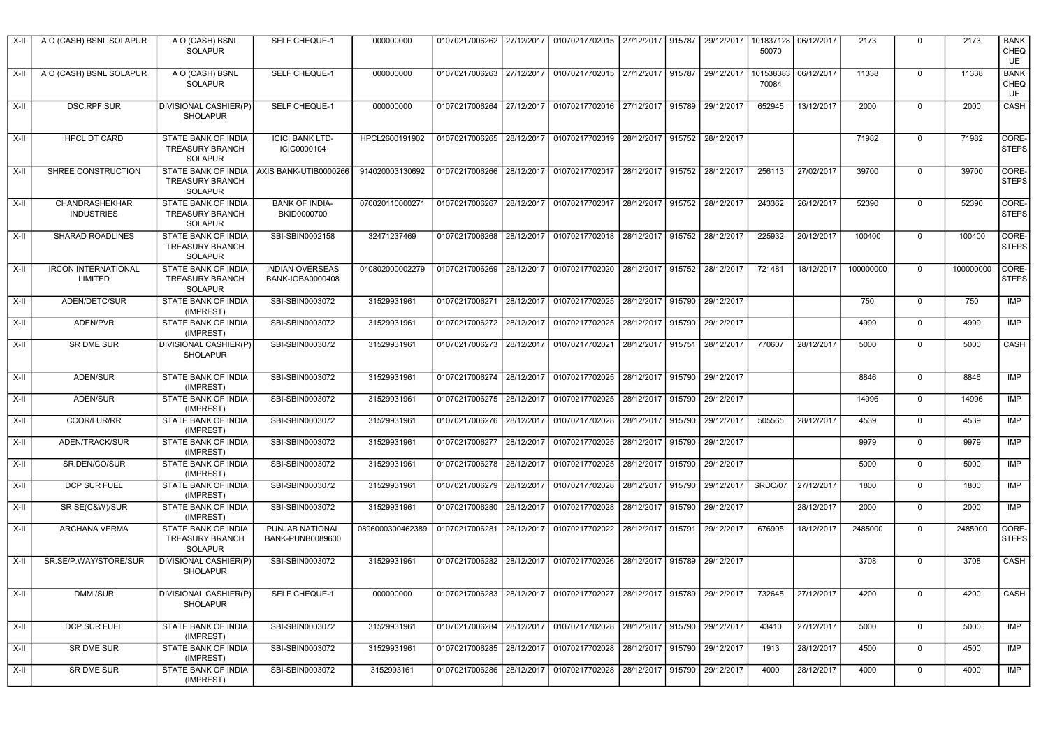| $X-II$ | A O (CASH) BSNL SOLAPUR                      | A O (CASH) BSNL<br><b>SOLAPUR</b>                                              | SELF CHEQUE-1                                     | 000000000        | 01070217006262            |            | 27/12/2017   01070217702015   27/12/2017   915787                     |                   |        | 29/12/2017                   | 101837128<br>50070 | 06/12/2017 | 2173      | $\mathbf 0$    | 2173      | <b>BANK</b><br>CHEQ<br>UE        |
|--------|----------------------------------------------|--------------------------------------------------------------------------------|---------------------------------------------------|------------------|---------------------------|------------|-----------------------------------------------------------------------|-------------------|--------|------------------------------|--------------------|------------|-----------|----------------|-----------|----------------------------------|
| $X-II$ | A O (CASH) BSNL SOLAPUR                      | A O (CASH) BSNL<br><b>SOLAPUR</b>                                              | <b>SELF CHEQUE-1</b>                              | 000000000        | 01070217006263            |            | 27/12/2017 01070217702015                                             | 27/12/2017 915787 |        | 29/12/2017                   | 101538383<br>70084 | 06/12/2017 | 11338     | $\mathbf 0$    | 11338     | <b>BANK</b><br><b>CHEQ</b><br>UE |
| X-II   | <b>DSC.RPF.SUR</b>                           | DIVISIONAL CASHIER(P)<br><b>SHOLAPUR</b>                                       | SELF CHEQUE-1                                     | 000000000        | 01070217006264            |            | 27/12/2017 01070217702016 27/12/2017 915789                           |                   |        | 29/12/2017                   | 652945             | 13/12/2017 | 2000      | $\mathsf 0$    | 2000      | CASH                             |
| $X-II$ | <b>HPCL DT CARD</b>                          | <b>STATE BANK OF INDIA</b><br><b>TREASURY BRANCH</b><br>SOLAPUR                | <b>ICICI BANK LTD-</b><br>ICIC0000104             | HPCL2600191902   |                           |            | 01070217006265 28/12/2017 01070217702019 28/12/2017 915752 28/12/2017 |                   |        |                              |                    |            | 71982     | $\mathbf 0$    | 71982     | CORE-<br><b>STEPS</b>            |
| X-II   | SHREE CONSTRUCTION                           | STATE BANK OF INDIA AXIS BANK-UTIB0000266<br><b>TREASURY BRANCH</b><br>SOLAPUR |                                                   | 914020003130692  |                           |            | 01070217006266 28/12/2017 01070217702017 28/12/2017 915752 28/12/2017 |                   |        |                              | 256113             | 27/02/2017 | 39700     | $\mathbf 0$    | 39700     | CORE-<br>STEPS                   |
| X-II   | CHANDRASHEKHAR<br><b>INDUSTRIES</b>          | STATE BANK OF INDIA<br><b>TREASURY BRANCH</b><br><b>SOLAPUR</b>                | <b>BANK OF INDIA-</b><br>BKID0000700              | 070020110000271  | 01070217006267            |            | 28/12/2017 01070217702017                                             |                   |        | 28/12/2017 915752 28/12/2017 | 243362             | 26/12/2017 | 52390     | $\Omega$       | 52390     | CORE-<br><b>STEPS</b>            |
| X-II   | <b>SHARAD ROADLINES</b>                      | STATE BANK OF INDIA<br><b>TREASURY BRANCH</b><br><b>SOLAPUR</b>                | SBI-SBIN0002158                                   | 32471237469      | 01070217006268            |            | 28/12/2017   01070217702018   28/12/2017   915752   28/12/2017        |                   |        |                              | 225932             | 20/12/2017 | 100400    | $\mathbf 0$    | 100400    | CORE-<br><b>STEPS</b>            |
| X-II   | <b>IRCON INTERNATIONAL</b><br><b>LIMITED</b> | STATE BANK OF INDIA<br><b>TREASURY BRANCH</b><br><b>SOLAPUR</b>                | <b>INDIAN OVERSEAS</b><br><b>BANK-IOBA0000408</b> | 040802000002279  |                           |            | 01070217006269 28/12/2017 01070217702020                              |                   |        | 28/12/2017 915752 28/12/2017 | 721481             | 18/12/2017 | 100000000 | $\overline{0}$ | 100000000 | CORE-<br>STEPS                   |
| X-II   | ADEN/DETC/SUR                                | STATE BANK OF INDIA<br>(IMPREST)                                               | SBI-SBIN0003072                                   | 31529931961      |                           |            | 01070217006271 28/12/2017 01070217702025 28/12/2017 915790            |                   |        | 29/12/2017                   |                    |            | 750       | $\mathbf 0$    | 750       | <b>IMP</b>                       |
| $X-II$ | ADEN/PVR                                     | STATE BANK OF INDIA<br>(IMPREST)                                               | SBI-SBIN0003072                                   | 31529931961      | 01070217006272            | 28/12/2017 | 01070217702025                                                        | 28/12/2017        | 915790 | 29/12/2017                   |                    |            | 4999      | $\mathbf 0$    | 4999      | IMP                              |
| $X-II$ | <b>SR DME SUR</b>                            | DIVISIONAL CASHIER(P)<br><b>SHOLAPUR</b>                                       | SBI-SBIN0003072                                   | 31529931961      | 01070217006273            | 28/12/2017 | 01070217702021                                                        | 28/12/2017        | 915751 | 28/12/2017                   | 770607             | 28/12/2017 | 5000      | $\mathbf 0$    | 5000      | CASH                             |
| X-II   | ADEN/SUR                                     | STATE BANK OF INDIA<br>(IMPREST)                                               | SBI-SBIN0003072                                   | 31529931961      |                           |            | 01070217006274 28/12/2017 01070217702025 28/12/2017                   |                   |        | 915790 29/12/2017            |                    |            | 8846      | $\mathbf 0$    | 8846      | <b>IMP</b>                       |
| X-II   | ADEN/SUR                                     | STATE BANK OF INDIA<br>(IMPREST)                                               | SBI-SBIN0003072                                   | 31529931961      | 01070217006275 28/12/2017 |            | 01070217702025 28/12/2017 915790                                      |                   |        | 29/12/2017                   |                    |            | 14996     | $\mathbf 0$    | 14996     | IMP                              |
| X-II   | <b>CCOR/LUR/RR</b>                           | STATE BANK OF INDIA<br>(IMPREST)                                               | SBI-SBIN0003072                                   | 31529931961      | 01070217006276 28/12/2017 |            | 01070217702028                                                        | 28/12/2017        | 915790 | 29/12/2017                   | 505565             | 28/12/2017 | 4539      | $\overline{0}$ | 4539      | IMP                              |
| X-II   | ADEN/TRACK/SUR                               | STATE BANK OF INDIA<br>(IMPREST)                                               | SBI-SBIN0003072                                   | 31529931961      | 01070217006277            | 28/12/2017 | 01070217702025                                                        | 28/12/2017        | 915790 | 29/12/2017                   |                    |            | 9979      | $\overline{0}$ | 9979      | IMP                              |
| X-II   | SR.DEN/CO/SUR                                | STATE BANK OF INDIA<br>(IMPREST)                                               | SBI-SBIN0003072                                   | 31529931961      | 01070217006278            | 28/12/2017 | 01070217702025                                                        | 28/12/2017        | 915790 | 29/12/2017                   |                    |            | 5000      | $\mathbf 0$    | 5000      | <b>IMP</b>                       |
| $X-H$  | <b>DCP SUR FUEL</b>                          | <b>STATE BANK OF INDIA</b><br>(IMPREST)                                        | SBI-SBIN0003072                                   | 31529931961      | 01070217006279 28/12/2017 |            | 01070217702028                                                        | 28/12/2017 915790 |        | 29/12/2017                   | SRDC/07            | 27/12/2017 | 1800      | $\mathbf 0$    | 1800      | IMP                              |
| $X-II$ | SR SE(C&W)/SUR                               | STATE BANK OF INDIA<br>(IMPREST)                                               | SBI-SBIN0003072                                   | 31529931961      | 01070217006280            | 28/12/2017 | 01070217702028                                                        | 28/12/2017        | 915790 | 29/12/2017                   |                    | 28/12/2017 | 2000      | $\overline{0}$ | 2000      | IMP                              |
| $X-II$ | <b>ARCHANA VERMA</b>                         | STATE BANK OF INDIA<br><b>TREASURY BRANCH</b><br><b>SOLAPUR</b>                | PUNJAB NATIONAL<br>BANK-PUNB0089600               | 0896000300462389 | 01070217006281            | 28/12/2017 | 01070217702022                                                        | 28/12/2017 915791 |        | 29/12/2017                   | 676905             | 18/12/2017 | 2485000   | $\mathbf 0$    | 2485000   | CORE-<br>STEPS                   |
| X-II   | SR.SE/P.WAY/STORE/SUR                        | DIVISIONAL CASHIER(P)<br><b>SHOLAPUR</b>                                       | SBI-SBIN0003072                                   | 31529931961      | 01070217006282            |            | 28/12/2017 01070217702026 28/12/2017                                  |                   |        | 915789 29/12/2017            |                    |            | 3708      | $\overline{0}$ | 3708      | CASH                             |
| $X-II$ | <b>DMM/SUR</b>                               | DIVISIONAL CASHIER(P)<br><b>SHOLAPUR</b>                                       | SELF CHEQUE-1                                     | 000000000        | 01070217006283            | 28/12/2017 | 01070217702027                                                        | 28/12/2017        |        | 915789 29/12/2017            | 732645             | 27/12/2017 | 4200      | $\overline{0}$ | 4200      | CASH                             |
| $X-II$ | <b>DCP SUR FUEL</b>                          | STATE BANK OF INDIA<br>(IMPREST)                                               | SBI-SBIN0003072                                   | 31529931961      | 01070217006284            |            | 28/12/2017 01070217702028 28/12/2017                                  |                   | 915790 | 29/12/2017                   | 43410              | 27/12/2017 | 5000      | $\mathsf 0$    | 5000      | <b>IMP</b>                       |
| X-II   | SR DME SUR                                   | STATE BANK OF INDIA<br>(IMPREST)                                               | SBI-SBIN0003072                                   | 31529931961      | 01070217006285            | 28/12/2017 | 01070217702028                                                        | 28/12/2017        | 915790 | 29/12/2017                   | 1913               | 28/12/2017 | 4500      | $\mathbf 0$    | 4500      | <b>IMP</b>                       |
| $X-H$  | <b>SR DME SUR</b>                            | STATE BANK OF INDIA<br>(IMPREST)                                               | SBI-SBIN0003072                                   | 3152993161       |                           |            | 01070217006286 28/12/2017 01070217702028 28/12/2017                   |                   |        | 915790 29/12/2017            | 4000               | 28/12/2017 | 4000      | $\mathbf 0$    | 4000      | IMP                              |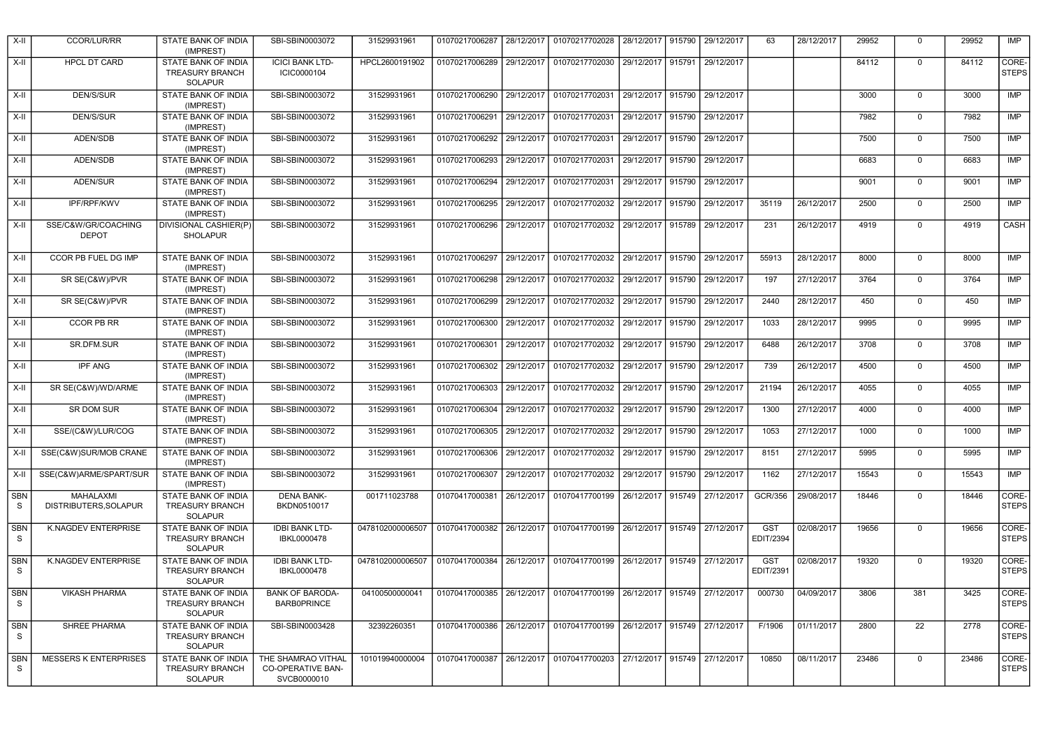| $X-H$                     | CCOR/LUR/RR                         | STATE BANK OF INDIA<br>(IMPREST)                                | SBI-SBIN0003072                                               | 31529931961      | 01070217006287 | 28/12/2017 | 01070217702028                                                 |            |        | 28/12/2017   915790   29/12/2017 | 63                      | 28/12/2017 | 29952 | $\mathbf 0$    | 29952 | IMP                   |
|---------------------------|-------------------------------------|-----------------------------------------------------------------|---------------------------------------------------------------|------------------|----------------|------------|----------------------------------------------------------------|------------|--------|----------------------------------|-------------------------|------------|-------|----------------|-------|-----------------------|
| X-II                      | <b>HPCL DT CARD</b>                 | <b>STATE BANK OF INDIA</b><br><b>TREASURY BRANCH</b><br>SOLAPUR | <b>ICICI BANK LTD-</b><br>ICIC0000104                         | HPCL2600191902   | 01070217006289 | 29/12/2017 | 01070217702030                                                 | 29/12/2017 | 915791 | 29/12/2017                       |                         |            | 84112 | $\Omega$       | 84112 | CORE-<br><b>STEPS</b> |
| X-II                      | DEN/S/SUR                           | STATE BANK OF INDIA<br>(IMPREST)                                | SBI-SBIN0003072                                               | 31529931961      | 01070217006290 |            | 29/12/2017 01070217702031                                      | 29/12/2017 | 915790 | 29/12/2017                       |                         |            | 3000  | $\mathbf 0$    | 3000  | IMP                   |
| X-II                      | DEN/S/SUR                           | STATE BANK OF INDIA<br>(IMPREST)                                | SBI-SBIN0003072                                               | 31529931961      | 01070217006291 |            | 29/12/2017 01070217702031                                      | 29/12/2017 | 915790 | 29/12/2017                       |                         |            | 7982  | $\mathbf 0$    | 7982  | <b>IMP</b>            |
| X-II                      | ADEN/SDB                            | STATE BANK OF INDIA<br>(IMPREST)                                | SBI-SBIN0003072                                               | 31529931961      |                |            | 01070217006292 29/12/2017 01070217702031                       |            |        | 29/12/2017 915790 29/12/2017     |                         |            | 7500  | $\Omega$       | 7500  | IMP                   |
| $X-H$                     | ADEN/SDB                            | STATE BANK OF INDIA<br>(IMPREST)                                | SBI-SBIN0003072                                               | 31529931961      | 01070217006293 |            | 29/12/2017 01070217702031                                      | 29/12/2017 | 915790 | 29/12/2017                       |                         |            | 6683  | $\mathbf 0$    | 6683  | <b>IMP</b>            |
| X-II                      | ADEN/SUR                            | STATE BANK OF INDIA<br>(IMPREST)                                | SBI-SBIN0003072                                               | 31529931961      | 01070217006294 |            | 29/12/2017 01070217702031                                      | 29/12/2017 |        | 915790 29/12/2017                |                         |            | 9001  | $\Omega$       | 9001  | <b>IMP</b>            |
| $X-H$                     | IPF/RPF/KWV                         | STATE BANK OF INDIA<br>(IMPREST)                                | SBI-SBIN0003072                                               | 31529931961      | 01070217006295 | 29/12/2017 | 01070217702032                                                 | 29/12/2017 | 915790 | 29/12/2017                       | 35119                   | 26/12/2017 | 2500  | $\mathbf 0$    | 2500  | IMP                   |
| X-II                      | SSE/C&W/GR/COACHING<br><b>DEPOT</b> | DIVISIONAL CASHIER(P)<br><b>SHOLAPUR</b>                        | SBI-SBIN0003072                                               | 31529931961      | 01070217006296 |            | 29/12/2017 01070217702032                                      |            |        | 29/12/2017   915789   29/12/2017 | 231                     | 26/12/2017 | 4919  | $\mathbf 0$    | 4919  | <b>CASH</b>           |
| X-II                      | CCOR PB FUEL DG IMP                 | STATE BANK OF INDIA<br>(IMPREST)                                | SBI-SBIN0003072                                               | 31529931961      | 01070217006297 |            | 29/12/2017 01070217702032 29/12/2017                           |            | 915790 | 29/12/2017                       | 55913                   | 28/12/2017 | 8000  | $\Omega$       | 8000  | <b>IMP</b>            |
| X-II                      | SR SE(C&W)/PVR                      | STATE BANK OF INDIA<br>(IMPREST)                                | SBI-SBIN0003072                                               | 31529931961      | 01070217006298 |            | 29/12/2017 01070217702032 29/12/2017                           |            | 915790 | 29/12/2017                       | 197                     | 27/12/2017 | 3764  | $\mathbf 0$    | 3764  | IMP                   |
| $X-H$                     | SR SE(C&W)/PVR                      | STATE BANK OF INDIA<br>(IMPREST)                                | SBI-SBIN0003072                                               | 31529931961      | 01070217006299 | 29/12/2017 | 01070217702032                                                 | 29/12/2017 | 915790 | 29/12/2017                       | 2440                    | 28/12/2017 | 450   | $\mathbf 0$    | 450   | <b>IMP</b>            |
| $X-II$                    | <b>CCOR PB RR</b>                   | STATE BANK OF INDIA<br>(IMPREST)                                | SBI-SBIN0003072                                               | 31529931961      | 01070217006300 | 29/12/2017 | 01070217702032                                                 | 29/12/2017 | 915790 | 29/12/2017                       | 1033                    | 28/12/2017 | 9995  | $\mathbf 0$    | 9995  | IMP                   |
| X-II                      | SR.DFM.SUR                          | STATE BANK OF INDIA<br>(IMPREST)                                | SBI-SBIN0003072                                               | 31529931961      | 01070217006301 | 29/12/2017 | 01070217702032                                                 | 29/12/2017 | 915790 | 29/12/2017                       | 6488                    | 26/12/2017 | 3708  | $\mathbf 0$    | 3708  | IMP                   |
| $X-II$                    | <b>IPF ANG</b>                      | STATE BANK OF INDIA<br>(IMPREST)                                | SBI-SBIN0003072                                               | 31529931961      | 01070217006302 |            | 29/12/2017 01070217702032                                      | 29/12/2017 | 915790 | 29/12/2017                       | 739                     | 26/12/2017 | 4500  | $\mathbf 0$    | 4500  | <b>IMP</b>            |
| X-II                      | SR SE(C&W)/WD/ARME                  | STATE BANK OF INDIA<br>(IMPREST)                                | SBI-SBIN0003072                                               | 31529931961      | 01070217006303 | 29/12/2017 | 01070217702032                                                 | 29/12/2017 | 915790 | 29/12/2017                       | 21194                   | 26/12/2017 | 4055  | $\mathbf 0$    | 4055  | IMP                   |
| $X-H$                     | <b>SR DOM SUR</b>                   | STATE BANK OF INDIA<br>(IMPREST)                                | SBI-SBIN0003072                                               | 31529931961      | 01070217006304 | 29/12/2017 | 01070217702032                                                 | 29/12/2017 | 915790 | 29/12/2017                       | 1300                    | 27/12/2017 | 4000  | $\overline{0}$ | 4000  | IMP                   |
| X-II                      | SSE/(C&W)/LUR/COG                   | STATE BANK OF INDIA<br>(IMPREST)                                | SBI-SBIN0003072                                               | 31529931961      | 01070217006305 | 29/12/2017 | 01070217702032                                                 | 29/12/2017 | 915790 | 29/12/2017                       | 1053                    | 27/12/2017 | 1000  | $\mathbf 0$    | 1000  | IMP                   |
| $X-H$                     | SSE(C&W)SUR/MOB CRANE               | STATE BANK OF INDIA<br>(IMPREST)                                | SBI-SBIN0003072                                               | 31529931961      | 01070217006306 |            | 29/12/2017 01070217702032 29/12/2017                           |            |        | 915790 29/12/2017                | 8151                    | 27/12/2017 | 5995  | $\mathbf 0$    | 5995  | IMP                   |
| X-II                      | SSE(C&W)ARME/SPART/SUR              | STATE BANK OF INDIA<br>(IMPREST)                                | SBI-SBIN0003072                                               | 31529931961      | 01070217006307 | 29/12/2017 | 01070217702032                                                 | 29/12/2017 | 915790 | 29/12/2017                       | 1162                    | 27/12/2017 | 15543 | $\overline{0}$ | 15543 | IMP                   |
| <b>SBN</b><br>S           | MAHALAXMI<br>DISTRIBUTERS, SOLAPUR  | STATE BANK OF INDIA<br><b>TREASURY BRANCH</b><br><b>SOLAPUR</b> | <b>DENA BANK-</b><br>BKDN0510017                              | 001711023788     | 01070417000381 |            | 26/12/2017 01070417700199 26/12/2017                           |            |        | 915749 27/12/2017                | GCR/356                 | 29/08/2017 | 18446 | $\mathbf 0$    | 18446 | CORE-<br><b>STEPS</b> |
| <b>SBN</b><br>S           | K.NAGDEV ENTERPRISE                 | STATE BANK OF INDIA<br><b>TREASURY BRANCH</b><br><b>SOLAPUR</b> | <b>IDBI BANK LTD-</b><br>IBKL0000478                          | 0478102000006507 | 01070417000382 |            | 26/12/2017   01070417700199                                    |            |        | 26/12/2017 915749 27/12/2017     | <b>GST</b><br>EDIT/2394 | 02/08/2017 | 19656 | $\mathbf 0$    | 19656 | CORE-<br><b>STEPS</b> |
| <b>SBN</b><br>S.          | K.NAGDEV ENTERPRISE                 | STATE BANK OF INDIA<br><b>TREASURY BRANCH</b><br><b>SOLAPUR</b> | <b>IDBI BANK LTD-</b><br>IBKL0000478                          | 0478102000006507 | 01070417000384 |            | 26/12/2017   01070417700199   26/12/2017                       |            |        | 915749 27/12/2017                | <b>GST</b><br>EDIT/2391 | 02/08/2017 | 19320 | $\mathbf 0$    | 19320 | CORE-<br><b>STEPS</b> |
| <b>SBN</b><br>${\tt S}$   | <b>VIKASH PHARMA</b>                | STATE BANK OF INDIA<br><b>TREASURY BRANCH</b><br><b>SOLAPUR</b> | <b>BANK OF BARODA-</b><br><b>BARB0PRINCE</b>                  | 04100500000041   | 01070417000385 |            | 26/12/2017 01070417700199 26/12/2017 915749 27/12/2017         |            |        |                                  | 000730                  | 04/09/2017 | 3806  | 381            | 3425  | CORE-<br><b>STEPS</b> |
| <b>SBN</b><br>$\mathbb S$ | SHREE PHARMA                        | STATE BANK OF INDIA<br><b>TREASURY BRANCH</b><br><b>SOLAPUR</b> | SBI-SBIN0003428                                               | 32392260351      | 01070417000386 |            | 26/12/2017   01070417700199   26/12/2017   915749   27/12/2017 |            |        |                                  | F/1906                  | 01/11/2017 | 2800  | 22             | 2778  | CORE-<br><b>STEPS</b> |
| <b>SBN</b><br>S           | <b>MESSERS K ENTERPRISES</b>        | STATE BANK OF INDIA<br><b>TREASURY BRANCH</b><br>SOLAPUR        | THE SHAMRAO VITHAL<br><b>CO-OPERATIVE BAN-</b><br>SVCB0000010 | 101019940000004  | 01070417000387 | 26/12/2017 | 01070417700203                                                 | 27/12/2017 | 915749 | 27/12/2017                       | 10850                   | 08/11/2017 | 23486 | $\mathbf 0$    | 23486 | CORE-<br><b>STEPS</b> |